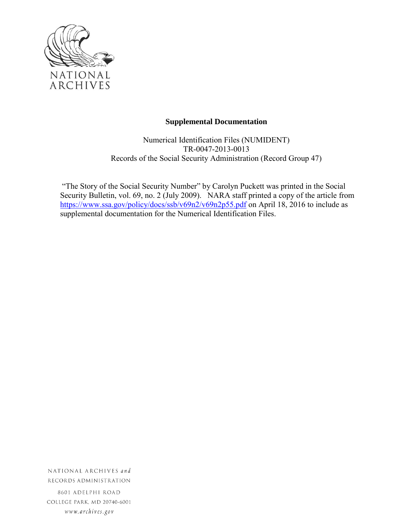

### **Supplemental Documentation**

Numerical Identification Files (NUMIDENT) TR-0047-2013-0013 Records of the Social Security Administration (Record Group 47)

"The Story of the Social Security Number" by Carolyn Puckett was printed in the Social Security Bulletin, vol. 69, no. 2 (July 2009). NARA staff printed a copy of the article from <https://www.ssa.gov/policy/docs/ssb/v69n2/v69n2p55.pdf> on April 18, 2016 to include as supplemental documentation for the Numerical Identification Files.

NATIONAL ARCHIVES and RECORDS ADMINISTRATION 8601 ADELPHI ROAD

COLLEGE PARK, MD 20740-6001 www.archives.gov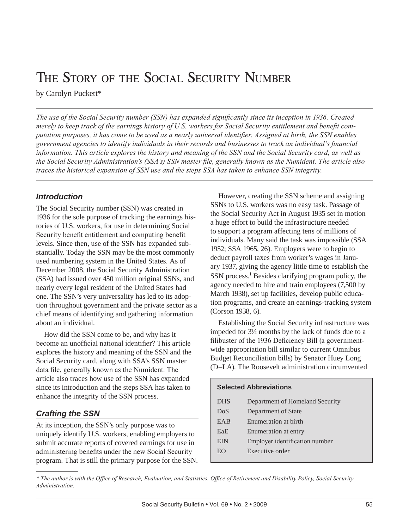# THE STORY OF THE SOCIAL SECURITY NUMBER

by Carolyn Puckett\*

*The use of the Social Security number (SSN) has expanded significantly since its inception in 1936. Created merely to keep track of the earnings history of U.S. workers for Social Security entitlement and benefit computation purposes, it has come to be used as a nearly universal identifier. Assigned at birth, the SSN enables government agencies to identify individuals in their records and businesses to track an individual's financial information. This article explores the history and meaning of the SSN and the Social Security card, as well as the Social Security Administration's (SSA's) SSN master file, generally known as the Numident. The article also traces the historical expansion of SSN use and the steps SSA has taken to enhance SSN integrity.*

# *Introduction*

The Social Security number (SSN) was created in 1936 for the sole purpose of tracking the earnings histories of U.S. workers, for use in determining Social Security benefit entitlement and computing benefit levels. Since then, use of the SSN has expanded substantially. Today the SSN may be the most commonly used numbering system in the United States. As of December 2008, the Social Security Administration (SSA) had issued over 450 million original SSNs, and nearly every legal resident of the United States had one. The SSN's very universality has led to its adoption throughout government and the private sector as a chief means of identifying and gathering information about an individual.

How did the SSN come to be, and why has it become an unofficial national identifier? This article explores the history and meaning of the SSN and the Social Security card, along with SSA's SSN master data file, generally known as the Numident. The article also traces how use of the SSN has expanded since its introduction and the steps SSA has taken to enhance the integrity of the SSN process.

# *Crafting the SSN*

At its inception, the SSN's only purpose was to uniquely identify U.S. workers, enabling employers to submit accurate reports of covered earnings for use in administering benefits under the new Social Security program. That is still the primary purpose for the SSN.

However, creating the SSN scheme and assigning SSNs to U.S. workers was no easy task. Passage of the Social Security Act in August 1935 set in motion a huge effort to build the infrastructure needed to support a program affecting tens of millions of individuals. Many said the task was impossible (SSA 1952; SSA 1965, 26). Employers were to begin to deduct payroll taxes from worker's wages in January 1937, giving the agency little time to establish the SSN process.<sup>1</sup> Besides clarifying program policy, the agency needed to hire and train employees (7,500 by March 1938), set up facilities, develop public education programs, and create an earnings-tracking system (Corson 1938, 6).

Establishing the Social Security infrastructure was impeded for 3½ months by the lack of funds due to a filibuster of the 1936 Deficiency Bill (a governmentwide appropriation bill similar to current Omnibus Budget Reconciliation bills) by Senator Huey Long (D–LA). The Roosevelt administration circumvented

#### **Selected Abbreviations**

| <b>DHS</b> | Department of Homeland Security |
|------------|---------------------------------|
| DoS        | Department of State             |
| EAB        | Enumeration at birth            |
| EaE        | Enumeration at entry            |
| <b>EIN</b> | Employer identification number  |
| EO         | Executive order                 |
|            |                                 |

*\* The author is with the Office of Research, Evaluation, and Statistics, Office of Retirement and Disability Policy, Social Security Administration.*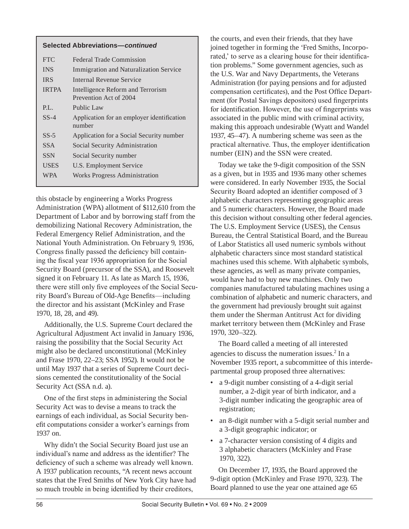#### **Selected Abbreviations—***continued*

| <b>FTC</b>   | Federal Trade Commission                                    |
|--------------|-------------------------------------------------------------|
| <b>INS</b>   | Immigration and Naturalization Service                      |
| <b>IRS</b>   | Internal Revenue Service                                    |
| <b>IRTPA</b> | Intelligence Reform and Terrorism<br>Prevention Act of 2004 |
| P.L.         | Public Law                                                  |
| $SS-4$       | Application for an employer identification<br>number        |
| $SS-5$       | Application for a Social Security number                    |
| SSA.         | Social Security Administration                              |
| <b>SSN</b>   | Social Security number                                      |
| USES         | U.S. Employment Service                                     |
| <b>WPA</b>   | <b>Works Progress Administration</b>                        |
|              |                                                             |

this obstacle by engineering a Works Progress Administration (WPA) allotment of \$112,610 from the Department of Labor and by borrowing staff from the demobilizing National Recovery Administration, the Federal Emergency Relief Administration, and the National Youth Administration. On February 9, 1936, Congress finally passed the deficiency bill containing the fiscal year 1936 appropriation for the Social Security Board (precursor of the SSA), and Roosevelt signed it on February 11. As late as March 15, 1936, there were still only five employees of the Social Security Board's Bureau of Old-Age Benefits—including the director and his assistant (McKinley and Frase 1970, 18, 28, and 49).

Additionally, the U.S. Supreme Court declared the Agricultural Adjustment Act invalid in January 1936, raising the possibility that the Social Security Act might also be declared unconstitutional (McKinley and Frase 1970, 22–23; SSA 1952). It would not be until May 1937 that a series of Supreme Court decisions cemented the constitutionality of the Social Security Act (SSA n.d. a).

One of the first steps in administering the Social Security Act was to devise a means to track the earnings of each individual, as Social Security benefit computations consider a worker's earnings from 1937 on.

Why didn't the Social Security Board just use an individual's name and address as the identifier? The deficiency of such a scheme was already well known. A 1937 publication recounts, "A recent news account states that the Fred Smiths of New York City have had so much trouble in being identified by their creditors,

the courts, and even their friends, that they have joined together in forming the 'Fred Smiths, Incorporated,' to serve as a clearing house for their identification problems." Some government agencies, such as the U.S. War and Navy Departments, the Veterans Administration (for paying pensions and for adjusted compensation certificates), and the Post Office Department (for Postal Savings depositors) used fingerprints for identification. However, the use of fingerprints was associated in the public mind with criminal activity, making this approach undesirable (Wyatt and Wandel 1937, 45–47). A numbering scheme was seen as the practical alternative. Thus, the employer identification number (EIN) and the SSN were created.

Today we take the 9-digit composition of the SSN as a given, but in 1935 and 1936 many other schemes were considered. In early November 1935, the Social Security Board adopted an identifier composed of 3 alphabetic characters representing geographic areas and 5 numeric characters. However, the Board made this decision without consulting other federal agencies. The U.S. Employment Service (USES), the Census Bureau, the Central Statistical Board, and the Bureau of Labor Statistics all used numeric symbols without alphabetic characters since most standard statistical machines used this scheme. With alphabetic symbols, these agencies, as well as many private companies, would have had to buy new machines. Only two companies manufactured tabulating machines using a combination of alphabetic and numeric characters, and the government had previously brought suit against them under the Sherman Antitrust Act for dividing market territory between them (McKinley and Frase 1970, 320–322).

The Board called a meeting of all interested agencies to discuss the numeration issues.<sup>2</sup> In a November 1935 report, a subcommittee of this interdepartmental group proposed three alternatives:

- a 9-digit number consisting of a 4-digit serial number, a 2-digit year of birth indicator, and a 3-digit number indicating the geographic area of registration;
- an 8-digit number with a 5-digit serial number and a 3-digit geographic indicator; or
- a 7-character version consisting of 4 digits and 3 alphabetic characters (McKinley and Frase 1970, 322).

On December 17, 1935, the Board approved the 9-digit option (McKinley and Frase 1970, 323). The Board planned to use the year one attained age 65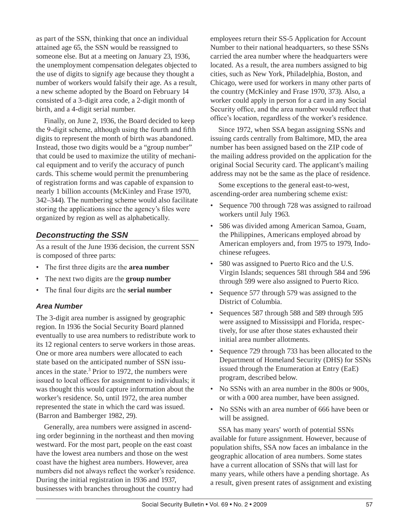as part of the SSN, thinking that once an individual attained age 65, the SSN would be reassigned to someone else. But at a meeting on January 23, 1936, the unemployment compensation delegates objected to the use of digits to signify age because they thought a number of workers would falsify their age. As a result, a new scheme adopted by the Board on February 14 consisted of a 3-digit area code, a 2-digit month of birth, and a 4-digit serial number.

Finally, on June 2, 1936, the Board decided to keep the 9-digit scheme, although using the fourth and fifth digits to represent the month of birth was abandoned. Instead, those two digits would be a "group number" that could be used to maximize the utility of mechanical equipment and to verify the accuracy of punch cards. This scheme would permit the prenumbering of registration forms and was capable of expansion to nearly 1 billion accounts (McKinley and Frase 1970, 342–344). The numbering scheme would also facilitate storing the applications since the agency's files were organized by region as well as alphabetically.

# *Deconstructing the SSN*

As a result of the June 1936 decision, the current SSN is composed of three parts:

- The first three digits are the **area number**
- The next two digits are the **group number**
- The final four digits are the **serial number**

### *Area Number*

The 3-digit area number is assigned by geographic region. In 1936 the Social Security Board planned eventually to use area numbers to redistribute work to its 12 regional centers to serve workers in those areas. One or more area numbers were allocated to each state based on the anticipated number of SSN issuances in the state. $3$  Prior to 1972, the numbers were issued to local offices for assignment to individuals; it was thought this would capture information about the worker's residence. So, until 1972, the area number represented the state in which the card was issued. (Barron and Bamberger 1982, 29).

Generally, area numbers were assigned in ascending order beginning in the northeast and then moving westward. For the most part, people on the east coast have the lowest area numbers and those on the west coast have the highest area numbers. However, area numbers did not always reflect the worker's residence. During the initial registration in 1936 and 1937, businesses with branches throughout the country had

employees return their SS-5 Application for Account Number to their national headquarters, so these SSNs carried the area number where the headquarters were located. As a result, the area numbers assigned to big cities, such as New York, Philadelphia, Boston, and Chicago, were used for workers in many other parts of the country (McKinley and Frase 1970, 373). Also, a worker could apply in person for a card in any Social Security office, and the area number would reflect that office's location, regardless of the worker's residence.

Since 1972, when SSA began assigning SSNs and issuing cards centrally from Baltimore, MD, the area number has been assigned based on the ZIP code of the mailing address provided on the application for the original Social Security card. The applicant's mailing address may not be the same as the place of residence.

Some exceptions to the general east-to-west, ascending-order area numbering scheme exist:

- Sequence 700 through 728 was assigned to railroad workers until July 1963.
- 586 was divided among American Samoa, Guam, the Philippines, Americans employed abroad by American employers and, from 1975 to 1979, Indochinese refugees.
- 580 was assigned to Puerto Rico and the U.S. Virgin Islands; sequences 581 through 584 and 596 through 599 were also assigned to Puerto Rico.
- Sequence 577 through 579 was assigned to the District of Columbia.
- Sequences 587 through 588 and 589 through 595 were assigned to Mississippi and Florida, respectively, for use after those states exhausted their initial area number allotments.
- Sequence 729 through 733 has been allocated to the Department of Homeland Security (DHS) for SSNs issued through the Enumeration at Entry (EaE) program, described below.
- No SSNs with an area number in the 800s or 900s, or with a 000 area number, have been assigned.
- No SSNs with an area number of 666 have been or will be assigned.

SSA has many years' worth of potential SSNs available for future assignment. However, because of population shifts, SSA now faces an imbalance in the geographic allocation of area numbers. Some states have a current allocation of SSNs that will last for many years, while others have a pending shortage. As a result, given present rates of assignment and existing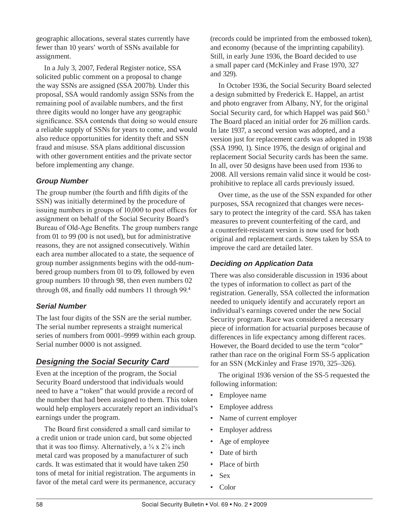geographic allocations, several states currently have fewer than 10 years' worth of SSNs available for assignment.

In a July 3, 2007, Federal Register notice, SSA solicited public comment on a proposal to change the way SSNs are assigned (SSA 2007b). Under this proposal, SSA would randomly assign SSNs from the remaining pool of available numbers, and the first three digits would no longer have any geographic significance. SSA contends that doing so would ensure a reliable supply of SSNs for years to come, and would also reduce opportunities for identity theft and SSN fraud and misuse. SSA plans additional discussion with other government entities and the private sector before implementing any change.

# *Group Number*

The group number (the fourth and fifth digits of the SSN) was initially determined by the procedure of issuing numbers in groups of 10,000 to post offices for assignment on behalf of the Social Security Board's Bureau of Old-Age Benefits. The group numbers range from 01 to 99 (00 is not used), but for administrative reasons, they are not assigned consecutively. Within each area number allocated to a state, the sequence of group number assignments begins with the odd-numbered group numbers from 01 to 09, followed by even group numbers 10 through 98, then even numbers 02 through 08, and finally odd numbers 11 through 99.4

# *Serial Number*

The last four digits of the SSN are the serial number. The serial number represents a straight numerical series of numbers from 0001–9999 within each group. Serial number 0000 is not assigned.

# *Designing the Social Security Card*

Even at the inception of the program, the Social Security Board understood that individuals would need to have a "token" that would provide a record of the number that had been assigned to them. This token would help employers accurately report an individual's earnings under the program.

The Board first considered a small card similar to a credit union or trade union card, but some objected that it was too flimsy. Alternatively, a  $\frac{3}{4}$  x  $\frac{2}{\sqrt{8}}$  inch metal card was proposed by a manufacturer of such cards. It was estimated that it would have taken 250 tons of metal for initial registration. The arguments in favor of the metal card were its permanence, accuracy (records could be imprinted from the embossed token), and economy (because of the imprinting capability). Still, in early June 1936, the Board decided to use a small paper card (McKinley and Frase 1970, 327 and 329).

In October 1936, the Social Security Board selected a design submitted by Frederick E. Happel, an artist and photo engraver from Albany, NY, for the original Social Security card, for which Happel was paid \$60.<sup>5</sup> The Board placed an initial order for 26 million cards. In late 1937, a second version was adopted, and a version just for replacement cards was adopted in 1938 (SSA 1990, 1). Since 1976, the design of original and replacement Social Security cards has been the same. In all, over 50 designs have been used from 1936 to 2008. All versions remain valid since it would be costprohibitive to replace all cards previously issued.

Over time, as the use of the SSN expanded for other purposes, SSA recognized that changes were necessary to protect the integrity of the card. SSA has taken measures to prevent counterfeiting of the card, and a counterfeit-resistant version is now used for both original and replacement cards. Steps taken by SSA to improve the card are detailed later.

### *Deciding on Application Data*

There was also considerable discussion in 1936 about the types of information to collect as part of the registration. Generally, SSA collected the information needed to uniquely identify and accurately report an individual's earnings covered under the new Social Security program. Race was considered a necessary piece of information for actuarial purposes because of differences in life expectancy among different races. However, the Board decided to use the term "color" rather than race on the original Form SS-5 application for an SSN (McKinley and Frase 1970, 325–326).

The original 1936 version of the SS-5 requested the following information:

- Employee name
- Employee address
- Name of current employer
- Employer address
- Age of employee
- Date of birth
- Place of birth
- Sex
- Color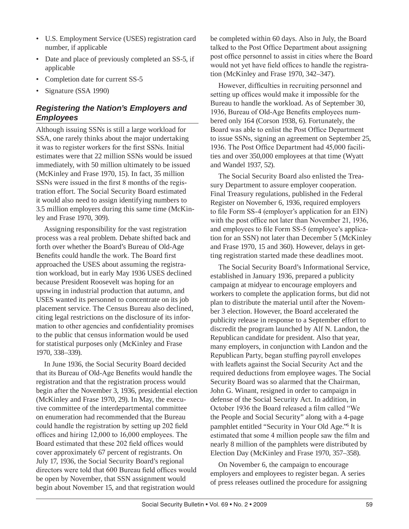- U.S. Employment Service (USES) registration card number, if applicable
- Date and place of previously completed an SS-5, if applicable
- Completion date for current SS-5
- Signature (SSA 1990)

# *Registering the Nation's Employers and Employees*

Although issuing SSNs is still a large workload for SSA, one rarely thinks about the major undertaking it was to register workers for the first SSNs. Initial estimates were that 22 million SSNs would be issued immediately, with 50 million ultimately to be issued (McKinley and Frase 1970, 15). In fact, 35 million SSNs were issued in the first 8 months of the registration effort. The Social Security Board estimated it would also need to assign identifying numbers to 3.5 million employers during this same time (McKinley and Frase 1970, 309).

Assigning responsibility for the vast registration process was a real problem. Debate shifted back and forth over whether the Board's Bureau of Old-Age Benefits could handle the work. The Board first approached the USES about assuming the registration workload, but in early May 1936 USES declined because President Roosevelt was hoping for an upswing in industrial production that autumn, and USES wanted its personnel to concentrate on its job placement service. The Census Bureau also declined, citing legal restrictions on the disclosure of its information to other agencies and confidentiality promises to the public that census information would be used for statistical purposes only (McKinley and Frase 1970, 338–339).

In June 1936, the Social Security Board decided that its Bureau of Old-Age Benefits would handle the registration and that the registration process would begin after the November 3, 1936, presidential election (McKinley and Frase 1970, 29). In May, the executive committee of the interdepartmental committee on enumeration had recommended that the Bureau could handle the registration by setting up 202 field offices and hiring 12,000 to 16,000 employees. The Board estimated that these 202 field offices would cover approximately 67 percent of registrants. On July 17, 1936, the Social Security Board's regional directors were told that 600 Bureau field offices would be open by November, that SSN assignment would begin about November 15, and that registration would

be completed within 60 days. Also in July, the Board talked to the Post Office Department about assigning post office personnel to assist in cities where the Board would not yet have field offices to handle the registration (McKinley and Frase 1970, 342–347).

However, difficulties in recruiting personnel and setting up offices would make it impossible for the Bureau to handle the workload. As of September 30, 1936, Bureau of Old-Age Benefits employees numbered only 164 (Corson 1938, 6). Fortunately, the Board was able to enlist the Post Office Department to issue SSNs, signing an agreement on September 25, 1936. The Post Office Department had 45,000 facilities and over 350,000 employees at that time (Wyatt and Wandel 1937, 52).

The Social Security Board also enlisted the Treasury Department to assure employer cooperation. Final Treasury regulations, published in the Federal Register on November 6, 1936, required employers to file Form SS-4 (employer's application for an EIN) with the post office not later than November 21, 1936, and employees to file Form SS-5 (employee's application for an SSN) not later than December 5 (McKinley and Frase 1970, 15 and 360). However, delays in getting registration started made these deadlines moot.

The Social Security Board's Informational Service, established in January 1936, prepared a publicity campaign at midyear to encourage employers and workers to complete the application forms, but did not plan to distribute the material until after the November 3 election. However, the Board accelerated the publicity release in response to a September effort to discredit the program launched by Alf N. Landon, the Republican candidate for president. Also that year, many employers, in conjunction with Landon and the Republican Party, began stuffing payroll envelopes with leaflets against the Social Security Act and the required deductions from employee wages. The Social Security Board was so alarmed that the Chairman, John G. Winant, resigned in order to campaign in defense of the Social Security Act. In addition, in October 1936 the Board released a film called "We the People and Social Security" along with a 4-page pamphlet entitled "Security in Your Old Age."6 It is estimated that some 4 million people saw the film and nearly 8 million of the pamphlets were distributed by Election Day (McKinley and Frase 1970, 357–358).

On November 6, the campaign to encourage employers and employees to register began. A series of press releases outlined the procedure for assigning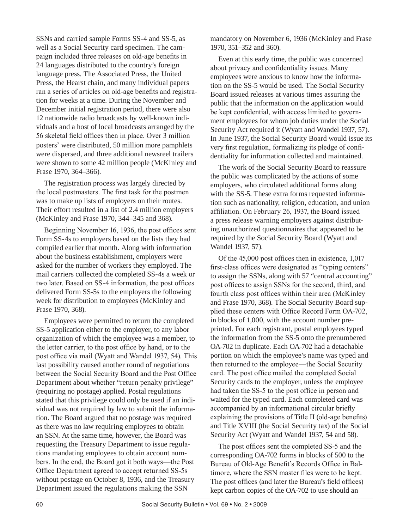SSNs and carried sample Forms SS-4 and SS-5, as well as a Social Security card specimen. The campaign included three releases on old-age benefits in 24 languages distributed to the country's foreign language press. The Associated Press, the United Press, the Hearst chain, and many individual papers ran a series of articles on old-age benefits and registration for weeks at a time. During the November and December initial registration period, there were also 12 nationwide radio broadcasts by well-known individuals and a host of local broadcasts arranged by the 56 skeletal field offices then in place. Over 3 million posters<sup>7</sup> were distributed, 50 million more pamphlets were dispersed, and three additional newsreel trailers were shown to some 42 million people (McKinley and Frase 1970, 364–366).

The registration process was largely directed by the local postmasters. The first task for the postmen was to make up lists of employers on their routes. Their effort resulted in a list of 2.4 million employers (McKinley and Frase 1970, 344–345 and 368).

Beginning November 16, 1936, the post offices sent Form SS-4s to employers based on the lists they had compiled earlier that month. Along with information about the business establishment, employers were asked for the number of workers they employed. The mail carriers collected the completed SS-4s a week or two later. Based on SS-4 information, the post offices delivered Form SS-5s to the employers the following week for distribution to employees (McKinley and Frase 1970, 368).

Employees were permitted to return the completed SS-5 application either to the employer, to any labor organization of which the employee was a member, to the letter carrier, to the post office by hand, or to the post office via mail (Wyatt and Wandel 1937, 54). This last possibility caused another round of negotiations between the Social Security Board and the Post Office Department about whether "return penalty privilege" (requiring no postage) applied. Postal regulations stated that this privilege could only be used if an individual was not required by law to submit the information. The Board argued that no postage was required as there was no law requiring employees to obtain an SSN. At the same time, however, the Board was requesting the Treasury Department to issue regulations mandating employees to obtain account numbers. In the end, the Board got it both ways—the Post Office Department agreed to accept returned SS-5s without postage on October 8, 1936, and the Treasury Department issued the regulations making the SSN

mandatory on November 6, 1936 (McKinley and Frase 1970, 351–352 and 360).

Even at this early time, the public was concerned about privacy and confidentiality issues. Many employees were anxious to know how the information on the SS-5 would be used. The Social Security Board issued releases at various times assuring the public that the information on the application would be kept confidential, with access limited to government employees for whom job duties under the Social Security Act required it (Wyatt and Wandel 1937, 57). In June 1937, the Social Security Board would issue its very first regulation, formalizing its pledge of confidentiality for information collected and maintained.

The work of the Social Security Board to reassure the public was complicated by the actions of some employers, who circulated additional forms along with the SS-5. These extra forms requested information such as nationality, religion, education, and union affiliation. On February 26, 1937, the Board issued a press release warning employers against distributing unauthorized questionnaires that appeared to be required by the Social Security Board (Wyatt and Wandel 1937, 57).

Of the 45,000 post offices then in existence, 1,017 first-class offices were designated as "typing centers" to assign the SSNs, along with 57 "central accounting" post offices to assign SSNs for the second, third, and fourth class post offices within their area (McKinley and Frase 1970, 368). The Social Security Board supplied these centers with Office Record Form OA-702, in blocks of 1,000, with the account number preprinted. For each registrant, postal employees typed the information from the SS-5 onto the prenumbered OA-702 in duplicate. Each OA-702 had a detachable portion on which the employee's name was typed and then returned to the employee—the Social Security card. The post office mailed the completed Social Security cards to the employer, unless the employee had taken the SS-5 to the post office in person and waited for the typed card. Each completed card was accompanied by an informational circular briefly explaining the provisions of Title II (old-age benefits) and Title XVIII (the Social Security tax) of the Social Security Act (Wyatt and Wandel 1937, 54 and 58).

The post offices sent the completed SS-5 and the corresponding OA-702 forms in blocks of 500 to the Bureau of Old-Age Benefit's Records Office in Baltimore, where the SSN master files were to be kept. The post offices (and later the Bureau's field offices) kept carbon copies of the OA-702 to use should an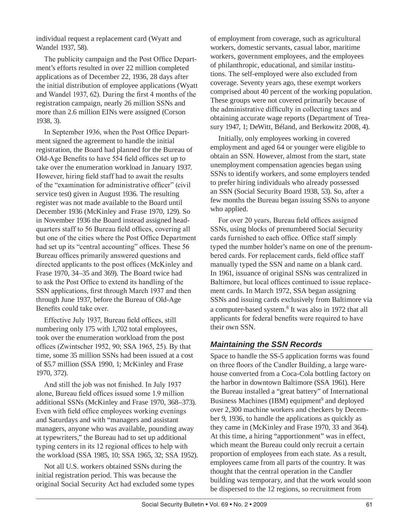individual request a replacement card (Wyatt and Wandel 1937, 58).

The publicity campaign and the Post Office Department's efforts resulted in over 22 million completed applications as of December 22, 1936, 28 days after the initial distribution of employee applications (Wyatt and Wandel 1937, 62). During the first 4 months of the registration campaign, nearly 26 million SSNs and more than 2.6 million EINs were assigned (Corson 1938, 3).

In September 1936, when the Post Office Department signed the agreement to handle the initial registration, the Board had planned for the Bureau of Old-Age Benefits to have 554 field offices set up to take over the enumeration workload in January 1937. However, hiring field staff had to await the results of the "examination for administrative officer" (civil service test) given in August 1936. The resulting register was not made available to the Board until December 1936 (McKinley and Frase 1970, 129). So in November 1936 the Board instead assigned headquarters staff to 56 Bureau field offices, covering all but one of the cities where the Post Office Department had set up its "central accounting" offices. These 56 Bureau offices primarily answered questions and directed applicants to the post offices (McKinley and Frase 1970, 34–35 and 369). The Board twice had to ask the Post Office to extend its handling of the SSN applications, first through March 1937 and then through June 1937, before the Bureau of Old-Age Benefits could take over.

Effective July 1937, Bureau field offices, still numbering only 175 with 1,702 total employees, took over the enumeration workload from the post offices (Zwintscher 1952, 90; SSA 1965, 25). By that time, some 35 million SSNs had been issued at a cost of \$5.7 million (SSA 1990, 1; McKinley and Frase 1970, 372).

And still the job was not finished. In July 1937 alone, Bureau field offices issued some 1.9 million additional SSNs (McKinley and Frase 1970, 368–373). Even with field office employees working evenings and Saturdays and with "managers and assistant managers, anyone who was available, pounding away at typewriters," the Bureau had to set up additional typing centers in its 12 regional offices to help with the workload (SSA 1985, 10; SSA 1965, 32; SSA 1952).

Not all U.S. workers obtained SSNs during the initial registration period. This was because the original Social Security Act had excluded some types of employment from coverage, such as agricultural workers, domestic servants, casual labor, maritime workers, government employees, and the employees of philanthropic, educational, and similar institutions. The self-employed were also excluded from coverage. Seventy years ago, these exempt workers comprised about 40 percent of the working population. These groups were not covered primarily because of the administrative difficulty in collecting taxes and obtaining accurate wage reports (Department of Treasury 1947, 1; DeWitt, Béland, and Berkowitz 2008, 4).

Initially, only employees working in covered employment and aged 64 or younger were eligible to obtain an SSN. However, almost from the start, state unemployment compensation agencies began using SSNs to identify workers, and some employers tended to prefer hiring individuals who already possessed an SSN (Social Security Board 1938, 53). So, after a few months the Bureau began issuing SSNs to anyone who applied.

For over 20 years, Bureau field offices assigned SSNs, using blocks of prenumbered Social Security cards furnished to each office. Office staff simply typed the number holder's name on one of the prenumbered cards. For replacement cards, field office staff manually typed the SSN and name on a blank card. In 1961, issuance of original SSNs was centralized in Baltimore, but local offices continued to issue replacement cards. In March 1972, SSA began assigning SSNs and issuing cards exclusively from Baltimore via a computer-based system.<sup>8</sup> It was also in 1972 that all applicants for federal benefits were required to have their own SSN.

# *Maintaining the SSN Records*

Space to handle the SS-5 application forms was found on three floors of the Candler Building, a large warehouse converted from a Coca-Cola bottling factory on the harbor in downtown Baltimore (SSA 1961). Here the Bureau installed a "great battery" of International Business Machines (IBM) equipment<sup>9</sup> and deployed over 2,300 machine workers and checkers by December 9, 1936, to handle the applications as quickly as they came in (McKinley and Frase 1970, 33 and 364). At this time, a hiring "apportionment" was in effect, which meant the Bureau could only recruit a certain proportion of employees from each state. As a result, employees came from all parts of the country. It was thought that the central operation in the Candler building was temporary, and that the work would soon be dispersed to the 12 regions, so recruitment from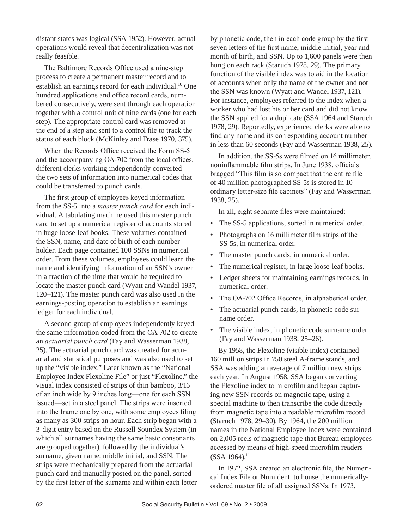distant states was logical (SSA 1952). However, actual operations would reveal that decentralization was not really feasible.

The Baltimore Records Office used a nine-step process to create a permanent master record and to establish an earnings record for each individual.<sup>10</sup> One hundred applications and office record cards, numbered consecutively, were sent through each operation together with a control unit of nine cards (one for each step). The appropriate control card was removed at the end of a step and sent to a control file to track the status of each block (McKinley and Frase 1970, 375).

When the Records Office received the Form SS-5 and the accompanying OA-702 from the local offices, different clerks working independently converted the two sets of information into numerical codes that could be transferred to punch cards.

The first group of employees keyed information from the SS-5 into a *master punch card* for each individual. A tabulating machine used this master punch card to set up a numerical register of accounts stored in huge loose-leaf books. These volumes contained the SSN, name, and date of birth of each number holder. Each page contained 100 SSNs in numerical order. From these volumes, employees could learn the name and identifying information of an SSN's owner in a fraction of the time that would be required to locate the master punch card (Wyatt and Wandel 1937, 120–121). The master punch card was also used in the earnings-posting operation to establish an earnings ledger for each individual.

A second group of employees independently keyed the same information coded from the OA-702 to create an *actuarial punch card* (Fay and Wasserman 1938, 25). The actuarial punch card was created for actuarial and statistical purposes and was also used to set up the "visible index." Later known as the "National Employee Index Flexoline File" or just "Flexoline," the visual index consisted of strips of thin bamboo, 3/16 of an inch wide by 9 inches long—one for each SSN issued—set in a steel panel. The strips were inserted into the frame one by one, with some employees filing as many as 300 strips an hour. Each strip began with a 3-digit entry based on the Russell Soundex System (in which all surnames having the same basic consonants are grouped together), followed by the individual's surname, given name, middle initial, and SSN. The strips were mechanically prepared from the actuarial punch card and manually posted on the panel, sorted by the first letter of the surname and within each letter

by phonetic code, then in each code group by the first seven letters of the first name, middle initial, year and month of birth, and SSN. Up to 1,600 panels were then hung on each rack (Staruch 1978, 29). The primary function of the visible index was to aid in the location of accounts when only the name of the owner and not the SSN was known (Wyatt and Wandel 1937, 121). For instance, employees referred to the index when a worker who had lost his or her card and did not know the SSN applied for a duplicate (SSA 1964 and Staruch 1978, 29). Reportedly, experienced clerks were able to find any name and its corresponding account number in less than 60 seconds (Fay and Wasserman 1938, 25).

In addition, the SS-5s were filmed on 16 millimeter, noninflammable film strips. In June 1938, officials bragged "This film is so compact that the entire file of 40 million photographed SS-5s is stored in 10 ordinary letter-size file cabinets" (Fay and Wasserman 1938, 25).

In all, eight separate files were maintained:

- The SS-5 applications, sorted in numerical order.
- Photographs on 16 millimeter film strips of the SS-5s, in numerical order.
- The master punch cards, in numerical order.
- The numerical register, in large loose-leaf books.
- Ledger sheets for maintaining earnings records, in numerical order.
- The OA-702 Office Records, in alphabetical order.
- The actuarial punch cards, in phonetic code surname order.
- The visible index, in phonetic code surname order (Fay and Wasserman 1938, 25–26).

By 1958, the Flexoline (visible index) contained 160 million strips in 750 steel A-frame stands, and SSA was adding an average of 7 million new strips each year. In August 1958, SSA began converting the Flexoline index to microfilm and began capturing new SSN records on magnetic tape, using a special machine to then transcribe the code directly from magnetic tape into a readable microfilm record (Staruch 1978, 29–30). By 1964, the 200 million names in the National Employee Index were contained on 2,005 reels of magnetic tape that Bureau employees accessed by means of high-speed microfilm readers  $(SSA 1964).$ <sup>11</sup>

In 1972, SSA created an electronic file, the Numerical Index File or Numident, to house the numericallyordered master file of all assigned SSNs. In 1973,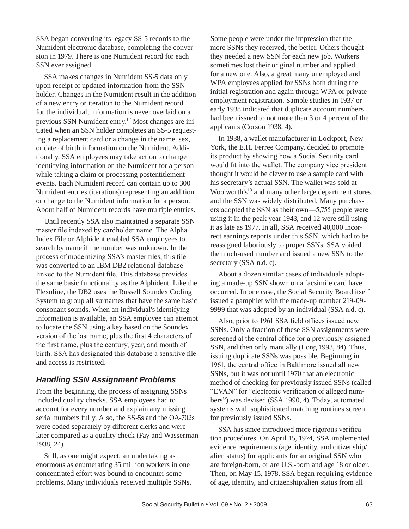SSA began converting its legacy SS-5 records to the Numident electronic database, completing the conversion in 1979. There is one Numident record for each SSN ever assigned.

SSA makes changes in Numident SS-5 data only upon receipt of updated information from the SSN holder. Changes in the Numident result in the addition of a new entry or iteration to the Numident record for the individual; information is never overlaid on a previous SSN Numident entry.12 Most changes are initiated when an SSN holder completes an SS-5 requesting a replacement card or a change in the name, sex, or date of birth information on the Numident. Additionally, SSA employees may take action to change identifying information on the Numident for a person while taking a claim or processing postentitlement events. Each Numident record can contain up to 300 Numident entries (iterations) representing an addition or change to the Numident information for a person. About half of Numident records have multiple entries.

Until recently SSA also maintained a separate SSN master file indexed by cardholder name. The Alpha Index File or Alphident enabled SSA employees to search by name if the number was unknown. In the process of modernizing SSA's master files, this file was converted to an IBM DB2 relational database linked to the Numident file. This database provides the same basic functionality as the Alphident. Like the Flexoline, the DB2 uses the Russell Soundex Coding System to group all surnames that have the same basic consonant sounds. When an individual's identifying information is available, an SSA employee can attempt to locate the SSN using a key based on the Soundex version of the last name, plus the first 4 characters of the first name, plus the century, year, and month of birth. SSA has designated this database a sensitive file and access is restricted.

# *Handling SSN Assignment Problems*

From the beginning, the process of assigning SSNs included quality checks. SSA employees had to account for every number and explain any missing serial numbers fully. Also, the SS-5s and the OA-702s were coded separately by different clerks and were later compared as a quality check (Fay and Wasserman 1938, 24).

Still, as one might expect, an undertaking as enormous as enumerating 35 million workers in one concentrated effort was bound to encounter some problems. Many individuals received multiple SSNs. Some people were under the impression that the more SSNs they received, the better. Others thought they needed a new SSN for each new job. Workers sometimes lost their original number and applied for a new one. Also, a great many unemployed and WPA employees applied for SSNs both during the initial registration and again through WPA or private employment registration. Sample studies in 1937 or early 1938 indicated that duplicate account numbers had been issued to not more than 3 or 4 percent of the applicants (Corson 1938, 4).

In 1938, a wallet manufacturer in Lockport, New York, the E.H. Ferree Company, decided to promote its product by showing how a Social Security card would fit into the wallet. The company vice president thought it would be clever to use a sample card with his secretary's actual SSN. The wallet was sold at Woolworth's<sup>13</sup> and many other large department stores, and the SSN was widely distributed. Many purchasers adopted the SSN as their own—5,755 people were using it in the peak year 1943, and 12 were still using it as late as 1977. In all, SSA received 40,000 incorrect earnings reports under this SSN, which had to be reassigned laboriously to proper SSNs. SSA voided the much-used number and issued a new SSN to the secretary (SSA n.d. c).

About a dozen similar cases of individuals adopting a made-up SSN shown on a facsimile card have occurred. In one case, the Social Security Board itself issued a pamphlet with the made-up number 219-09- 9999 that was adopted by an individual (SSA n.d. c).

Also, prior to 1961 SSA field offices issued new SSNs. Only a fraction of these SSN assignments were screened at the central office for a previously assigned SSN, and then only manually (Long 1993, 84). Thus, issuing duplicate SSNs was possible. Beginning in 1961, the central office in Baltimore issued all new SSNs, but it was not until 1970 that an electronic method of checking for previously issued SSNs (called "EVAN" for "electronic verification of alleged numbers") was devised (SSA 1990, 4). Today, automated systems with sophisticated matching routines screen for previously issued SSNs.

SSA has since introduced more rigorous verification procedures. On April 15, 1974, SSA implemented evidence requirements (age, identity, and citizenship/ alien status) for applicants for an original SSN who are foreign-born, or are U.S.-born and age 18 or older. Then, on May 15, 1978, SSA began requiring evidence of age, identity, and citizenship/alien status from all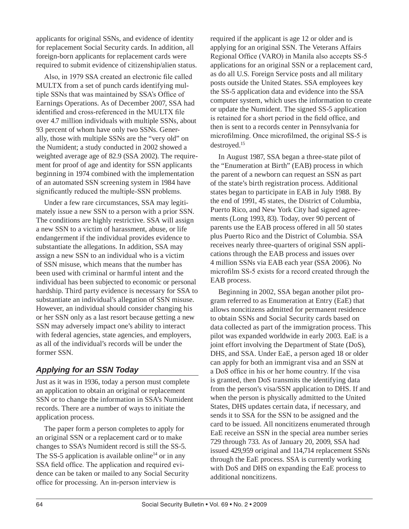applicants for original SSNs, and evidence of identity for replacement Social Security cards. In addition, all foreign-born applicants for replacement cards were required to submit evidence of citizenship/alien status.

Also, in 1979 SSA created an electronic file called MULTX from a set of punch cards identifying multiple SSNs that was maintained by SSA's Office of Earnings Operations. As of December 2007, SSA had identified and cross-referenced in the MULTX file over 4.7 million individuals with multiple SSNs, about 93 percent of whom have only two SSNs. Generally, those with multiple SSNs are the "very old" on the Numident; a study conducted in 2002 showed a weighted average age of 82.9 (SSA 2002). The requirement for proof of age and identity for SSN applicants beginning in 1974 combined with the implementation of an automated SSN screening system in 1984 have significantly reduced the multiple-SSN problems.

Under a few rare circumstances, SSA may legitimately issue a new SSN to a person with a prior SSN. The conditions are highly restrictive. SSA will assign a new SSN to a victim of harassment, abuse, or life endangerment if the individual provides evidence to substantiate the allegations. In addition, SSA may assign a new SSN to an individual who is a victim of SSN misuse, which means that the number has been used with criminal or harmful intent and the individual has been subjected to economic or personal hardship. Third party evidence is necessary for SSA to substantiate an individual's allegation of SSN misuse. However, an individual should consider changing his or her SSN only as a last resort because getting a new SSN may adversely impact one's ability to interact with federal agencies, state agencies, and employers, as all of the individual's records will be under the former SSN.

# *Applying for an SSN Today*

Just as it was in 1936, today a person must complete an application to obtain an original or replacement SSN or to change the information in SSA's Numident records. There are a number of ways to initiate the application process.

The paper form a person completes to apply for an original SSN or a replacement card or to make changes to SSA's Numident record is still the SS-5. The SS-5 application is available online<sup>14</sup> or in any SSA field office. The application and required evidence can be taken or mailed to any Social Security office for processing. An in-person interview is

required if the applicant is age 12 or older and is applying for an original SSN. The Veterans Affairs Regional Office (VARO) in Manila also accepts SS-5 applications for an original SSN or a replacement card, as do all U.S. Foreign Service posts and all military posts outside the United States. SSA employees key the SS-5 application data and evidence into the SSA computer system, which uses the information to create or update the Numident. The signed SS-5 application is retained for a short period in the field office, and then is sent to a records center in Pennsylvania for microfilming. Once microfilmed, the original SS-5 is destroyed.15

In August 1987, SSA began a three-state pilot of the "Enumeration at Birth" (EAB) process in which the parent of a newborn can request an SSN as part of the state's birth registration process. Additional states began to participate in EAB in July 1988. By the end of 1991, 45 states, the District of Columbia, Puerto Rico, and New York City had signed agreements (Long 1993, 83). Today, over 90 percent of parents use the EAB process offered in all 50 states plus Puerto Rico and the District of Columbia. SSA receives nearly three-quarters of original SSN applications through the EAB process and issues over 4 million SSNs via EAB each year (SSA 2006). No microfilm SS-5 exists for a record created through the EAB process.

Beginning in 2002, SSA began another pilot program referred to as Enumeration at Entry (EaE) that allows noncitizens admitted for permanent residence to obtain SSNs and Social Security cards based on data collected as part of the immigration process. This pilot was expanded worldwide in early 2003. EaE is a joint effort involving the Department of State (DoS), DHS, and SSA. Under EaE, a person aged 18 or older can apply for both an immigrant visa and an SSN at a DoS office in his or her home country. If the visa is granted, then DoS transmits the identifying data from the person's visa/SSN application to DHS. If and when the person is physically admitted to the United States, DHS updates certain data, if necessary, and sends it to SSA for the SSN to be assigned and the card to be issued. All noncitizens enumerated through EaE receive an SSN in the special area number series 729 through 733. As of January 20, 2009, SSA had issued 429,959 original and 114,714 replacement SSNs through the EaE process. SSA is currently working with DoS and DHS on expanding the EaE process to additional noncitizens.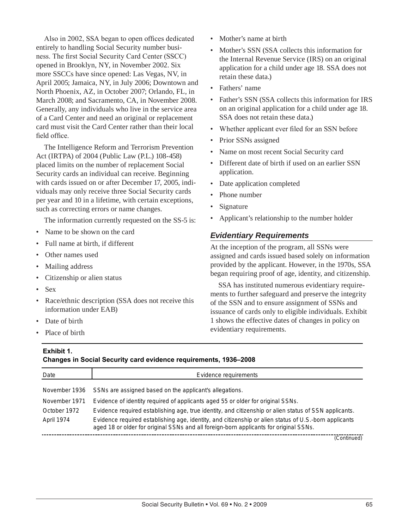Also in 2002, SSA began to open offices dedicated entirely to handling Social Security number business. The first Social Security Card Center (SSCC) opened in Brooklyn, NY, in November 2002. Six more SSCCs have since opened: Las Vegas, NV, in April 2005; Jamaica, NY, in July 2006; Downtown and North Phoenix, AZ, in October 2007; Orlando, FL, in March 2008; and Sacramento, CA, in November 2008. Generally, any individuals who live in the service area of a Card Center and need an original or replacement card must visit the Card Center rather than their local field office.

The Intelligence Reform and Terrorism Prevention Act (IRTPA) of 2004 (Public Law (P.L.) 108-458) placed limits on the number of replacement Social Security cards an individual can receive. Beginning with cards issued on or after December 17, 2005, individuals may only receive three Social Security cards per year and 10 in a lifetime, with certain exceptions, such as correcting errors or name changes.

The information currently requested on the SS-5 is:

- Name to be shown on the card
- Full name at birth, if different
- Other names used
- Mailing address
- Citizenship or alien status
- Sex
- Race/ethnic description (SSA does not receive this information under EAB)
- Date of birth
- Place of birth
- Mother's name at birth
- Mother's SSN (SSA collects this information for the Internal Revenue Service (IRS) on an original application for a child under age 18. SSA does not retain these data.)
- Fathers' name
- Father's SSN (SSA collects this information for IRS on an original application for a child under age 18. SSA does not retain these data.)
- Whether applicant ever filed for an SSN before
- Prior SSNs assigned
- Name on most recent Social Security card
- Different date of birth if used on an earlier SSN application.
- Date application completed
- Phone number
- **Signature**
- Applicant's relationship to the number holder

#### *Evidentiary Requirements*

At the inception of the program, all SSNs were assigned and cards issued based solely on information provided by the applicant. However, in the 1970s, SSA began requiring proof of age, identity, and citizenship.

SSA has instituted numerous evidentiary requirements to further safeguard and preserve the integrity of the SSN and to ensure assignment of SSNs and issuance of cards only to eligible individuals. Exhibit 1 shows the effective dates of changes in policy on evidentiary requirements.

#### **Exhibit 1. Changes in Social Security card evidence requirements, 1936–2008**

| <u>and de in each a security can a crimeired redunquished read</u> |                                                                                                                                                                                                |  |
|--------------------------------------------------------------------|------------------------------------------------------------------------------------------------------------------------------------------------------------------------------------------------|--|
| Date                                                               | Evidence requirements                                                                                                                                                                          |  |
| November 1936                                                      | SSNs are assigned based on the applicant's allegations.                                                                                                                                        |  |
| November 1971                                                      | Evidence of identity required of applicants aged 55 or older for original SSNs.                                                                                                                |  |
| October 1972                                                       | Evidence required establishing age, true identity, and citizenship or alien status of SSN applicants.                                                                                          |  |
| April 1974                                                         | Evidence required establishing age, identity, and citizenship or alien status of U.S.-born applicants<br>aged 18 or older for original SSNs and all foreign-born applicants for original SSNs. |  |

(Continued)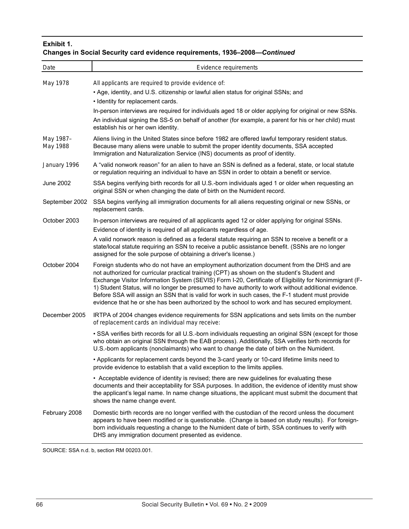### **Exhibit 1.**

# **Changes in Social Security card evidence requirements, 1936–2008—***Continued*

| Date                  | Evidence requirements                                                                                                                                                                                                                                                                                                                                                                                                                                                                                                                                                                                             |
|-----------------------|-------------------------------------------------------------------------------------------------------------------------------------------------------------------------------------------------------------------------------------------------------------------------------------------------------------------------------------------------------------------------------------------------------------------------------------------------------------------------------------------------------------------------------------------------------------------------------------------------------------------|
| May 1978              | All applicants are required to provide evidence of:<br>• Age, identity, and U.S. citizenship or lawful alien status for original SSNs; and<br>• Identity for replacement cards.<br>In-person interviews are required for individuals aged 18 or older applying for original or new SSNs.<br>An individual signing the SS-5 on behalf of another (for example, a parent for his or her child) must<br>establish his or her own identity.                                                                                                                                                                           |
| May 1987-<br>May 1988 | Aliens living in the United States since before 1982 are offered lawful temporary resident status.<br>Because many aliens were unable to submit the proper identity documents, SSA accepted<br>Immigration and Naturalization Service (INS) documents as proof of identity.                                                                                                                                                                                                                                                                                                                                       |
| January 1996          | A "valid nonwork reason" for an alien to have an SSN is defined as a federal, state, or local statute<br>or regulation requiring an individual to have an SSN in order to obtain a benefit or service.                                                                                                                                                                                                                                                                                                                                                                                                            |
| <b>June 2002</b>      | SSA begins verifying birth records for all U.S.-born individuals aged 1 or older when requesting an<br>original SSN or when changing the date of birth on the Numident record.                                                                                                                                                                                                                                                                                                                                                                                                                                    |
| September 2002        | SSA begins verifying all immigration documents for all aliens requesting original or new SSNs, or<br>replacement cards.                                                                                                                                                                                                                                                                                                                                                                                                                                                                                           |
| October 2003          | In-person interviews are required of all applicants aged 12 or older applying for original SSNs.<br>Evidence of identity is required of all applicants regardless of age.<br>A valid nonwork reason is defined as a federal statute requiring an SSN to receive a benefit or a<br>state/local statute requiring an SSN to receive a public assistance benefit. (SSNs are no longer<br>assigned for the sole purpose of obtaining a driver's license.)                                                                                                                                                             |
| October 2004          | Foreign students who do not have an employment authorization document from the DHS and are<br>not authorized for curricular practical training (CPT) as shown on the student's Student and<br>Exchange Visitor Information System (SEVIS) Form I-20, Certificate of Eligibility for Nonimmigrant (F-<br>1) Student Status, will no longer be presumed to have authority to work without additional evidence.<br>Before SSA will assign an SSN that is valid for work in such cases, the F-1 student must provide<br>evidence that he or she has been authorized by the school to work and has secured employment. |
| December 2005         | IRTPA of 2004 changes evidence requirements for SSN applications and sets limits on the number<br>of replacement cards an individual may receive:                                                                                                                                                                                                                                                                                                                                                                                                                                                                 |
|                       | . SSA verifies birth records for all U.S.-born individuals requesting an original SSN (except for those<br>who obtain an original SSN through the EAB process). Additionally, SSA verifies birth records for<br>U.S.-born applicants (nonclaimants) who want to change the date of birth on the Numident.                                                                                                                                                                                                                                                                                                         |
|                       | • Applicants for replacement cards beyond the 3-card yearly or 10-card lifetime limits need to<br>provide evidence to establish that a valid exception to the limits applies.                                                                                                                                                                                                                                                                                                                                                                                                                                     |
|                       | • Acceptable evidence of identity is revised; there are new guidelines for evaluating these<br>documents and their acceptability for SSA purposes. In addition, the evidence of identity must show<br>the applicant's legal name. In name change situations, the applicant must submit the document that<br>shows the name change event.                                                                                                                                                                                                                                                                          |
| February 2008         | Domestic birth records are no longer verified with the custodian of the record unless the document<br>appears to have been modified or is questionable. (Change is based on study results). For foreign-<br>born individuals requesting a change to the Numident date of birth, SSA continues to verify with<br>DHS any immigration document presented as evidence.                                                                                                                                                                                                                                               |

SOURCE: SSA n.d. b, section RM 00203.001.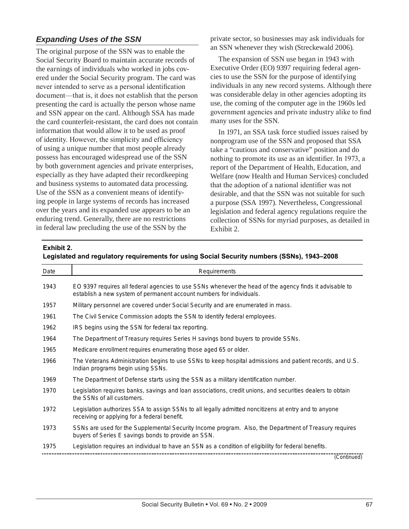# *Expanding Uses of the SSN*

The original purpose of the SSN was to enable the Social Security Board to maintain accurate records of the earnings of individuals who worked in jobs covered under the Social Security program. The card was never intended to serve as a personal identification document—that is, it does not establish that the person presenting the card is actually the person whose name and SSN appear on the card. Although SSA has made the card counterfeit-resistant, the card does not contain information that would allow it to be used as proof of identity. However, the simplicity and efficiency of using a unique number that most people already possess has encouraged widespread use of the SSN by both government agencies and private enterprises, especially as they have adapted their recordkeeping and business systems to automated data processing. Use of the SSN as a convenient means of identifying people in large systems of records has increased over the years and its expanded use appears to be an enduring trend. Generally, there are no restrictions in federal law precluding the use of the SSN by the

private sector, so businesses may ask individuals for an SSN whenever they wish (Streckewald 2006).

The expansion of SSN use began in 1943 with Executive Order (EO) 9397 requiring federal agencies to use the SSN for the purpose of identifying individuals in any new record systems. Although there was considerable delay in other agencies adopting its use, the coming of the computer age in the 1960s led government agencies and private industry alike to find many uses for the SSN.

In 1971, an SSA task force studied issues raised by nonprogram use of the SSN and proposed that SSA take a "cautious and conservative" position and do nothing to promote its use as an identifier. In 1973, a report of the Department of Health, Education, and Welfare (now Health and Human Services) concluded that the adoption of a national identifier was not desirable, and that the SSN was not suitable for such a purpose (SSA 1997). Nevertheless, Congressional legislation and federal agency regulations require the collection of SSNs for myriad purposes, as detailed in Exhibit 2.

#### **Exhibit 2.**

| Legislated and regulatory requirements for using Social Security numbers (SSNs), 1943-2008 |  |  |  |
|--------------------------------------------------------------------------------------------|--|--|--|
|                                                                                            |  |  |  |

| Date | Requirements                                                                                                                                                                    |
|------|---------------------------------------------------------------------------------------------------------------------------------------------------------------------------------|
| 1943 | EO 9397 requires all federal agencies to use SSNs whenever the head of the agency finds it advisable to<br>establish a new system of permanent account numbers for individuals. |
| 1957 | Military personnel are covered under Social Security and are enumerated in mass.                                                                                                |
| 1961 | The Civil Service Commission adopts the SSN to identify federal employees.                                                                                                      |
| 1962 | IRS begins using the SSN for federal tax reporting.                                                                                                                             |
| 1964 | The Department of Treasury requires Series H savings bond buyers to provide SSNs.                                                                                               |
| 1965 | Medicare enrollment requires enumerating those aged 65 or older.                                                                                                                |
| 1966 | The Veterans Administration begins to use SSNs to keep hospital admissions and patient records, and U.S.<br>Indian programs begin using SSNs.                                   |
| 1969 | The Department of Defense starts using the SSN as a military identification number.                                                                                             |
| 1970 | Legislation requires banks, savings and loan associations, credit unions, and securities dealers to obtain<br>the SSNs of all customers.                                        |
| 1972 | Legislation authorizes SSA to assign SSNs to all legally admitted noncitizens at entry and to anyone<br>receiving or applying for a federal benefit.                            |
| 1973 | SSNs are used for the Supplemental Security Income program. Also, the Department of Treasury requires<br>buyers of Series E savings bonds to provide an SSN.                    |
| 1975 | Legislation requires an individual to have an SSN as a condition of eligibility for federal benefits.                                                                           |
|      | (Continued)                                                                                                                                                                     |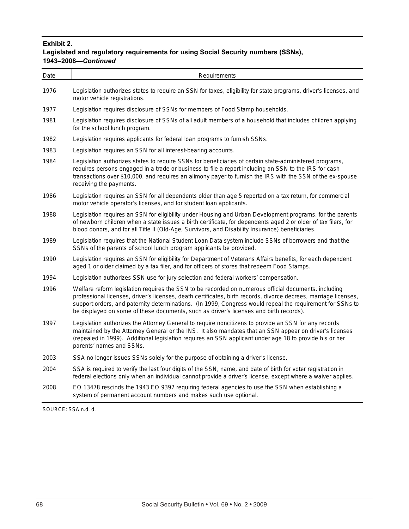### **Exhibit 2. Legislated and regulatory requirements for using Social Security numbers (SSNs), 1943–2008—***Continued*

| Date | Requirements                                                                                                                                                                                                                                                                                                                                                                                                                    |
|------|---------------------------------------------------------------------------------------------------------------------------------------------------------------------------------------------------------------------------------------------------------------------------------------------------------------------------------------------------------------------------------------------------------------------------------|
| 1976 | Legislation authorizes states to require an SSN for taxes, eligibility for state programs, driver's licenses, and<br>motor vehicle registrations.                                                                                                                                                                                                                                                                               |
| 1977 | Legislation requires disclosure of SSNs for members of Food Stamp households.                                                                                                                                                                                                                                                                                                                                                   |
| 1981 | Legislation requires disclosure of SSNs of all adult members of a household that includes children applying<br>for the school lunch program.                                                                                                                                                                                                                                                                                    |
| 1982 | Legislation requires applicants for federal loan programs to furnish SSNs.                                                                                                                                                                                                                                                                                                                                                      |
| 1983 | Legislation requires an SSN for all interest-bearing accounts.                                                                                                                                                                                                                                                                                                                                                                  |
| 1984 | Legislation authorizes states to require SSNs for beneficiaries of certain state-administered programs,<br>requires persons engaged in a trade or business to file a report including an SSN to the IRS for cash<br>transactions over \$10,000, and requires an alimony payer to furnish the IRS with the SSN of the ex-spouse<br>receiving the payments.                                                                       |
| 1986 | Legislation requires an SSN for all dependents older than age 5 reported on a tax return, for commercial<br>motor vehicle operator's licenses, and for student loan applicants.                                                                                                                                                                                                                                                 |
| 1988 | Legislation requires an SSN for eligibility under Housing and Urban Development programs, for the parents<br>of newborn children when a state issues a birth certificate, for dependents aged 2 or older of tax filers, for<br>blood donors, and for all Title II (Old-Age, Survivors, and Disability Insurance) beneficiaries.                                                                                                 |
| 1989 | Legislation requires that the National Student Loan Data system include SSNs of borrowers and that the<br>SSNs of the parents of school lunch program applicants be provided.                                                                                                                                                                                                                                                   |
| 1990 | Legislation requires an SSN for eligibility for Department of Veterans Affairs benefits, for each dependent<br>aged 1 or older claimed by a tax filer, and for officers of stores that redeem Food Stamps.                                                                                                                                                                                                                      |
| 1994 | Legislation authorizes SSN use for jury selection and federal workers' compensation.                                                                                                                                                                                                                                                                                                                                            |
| 1996 | Welfare reform legislation requires the SSN to be recorded on numerous official documents, including<br>professional licenses, driver's licenses, death certificates, birth records, divorce decrees, marriage licenses,<br>support orders, and paternity determinations. (In 1999, Congress would repeal the requirement for SSNs to<br>be displayed on some of these documents, such as driver's licenses and birth records). |
| 1997 | Legislation authorizes the Attorney General to require noncitizens to provide an SSN for any records<br>maintained by the Attorney General or the INS. It also mandates that an SSN appear on driver's licenses<br>(repealed in 1999). Additional legislation requires an SSN applicant under age 18 to provide his or her<br>parents' names and SSNs.                                                                          |
| 2003 | SSA no longer issues SSNs solely for the purpose of obtaining a driver's license.                                                                                                                                                                                                                                                                                                                                               |
| 2004 | SSA is required to verify the last four digits of the SSN, name, and date of birth for voter registration in<br>federal elections only when an individual cannot provide a driver's license, except where a waiver applies.                                                                                                                                                                                                     |
| 2008 | EO 13478 rescinds the 1943 EO 9397 requiring federal agencies to use the SSN when establishing a                                                                                                                                                                                                                                                                                                                                |

2008 EO 13478 rescinds the 1943 EO 9397 requiring federal agencies to use the SSN when establishing a system of permanent account numbers and makes such use optional.

SOURCE: SSA n.d. d.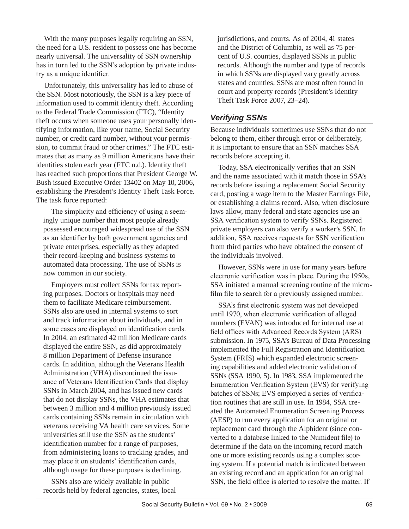With the many purposes legally requiring an SSN, the need for a U.S. resident to possess one has become nearly universal. The universality of SSN ownership has in turn led to the SSN's adoption by private industry as a unique identifier.

Unfortunately, this universality has led to abuse of the SSN. Most notoriously, the SSN is a key piece of information used to commit identity theft. According to the Federal Trade Commission (FTC), "Identity theft occurs when someone uses your personally identifying information, like your name, Social Security number, or credit card number, without your permission, to commit fraud or other crimes." The FTC estimates that as many as 9 million Americans have their identities stolen each year (FTC n.d.). Identity theft has reached such proportions that President George W. Bush issued Executive Order 13402 on May 10, 2006, establishing the President's Identity Theft Task Force. The task force reported:

The simplicity and efficiency of using a seemingly unique number that most people already possessed encouraged widespread use of the SSN as an identifier by both government agencies and private enterprises, especially as they adapted their record-keeping and business systems to automated data processing. The use of SSNs is now common in our society.

Employers must collect SSNs for tax reporting purposes. Doctors or hospitals may need them to facilitate Medicare reimbursement. SSNs also are used in internal systems to sort and track information about individuals, and in some cases are displayed on identification cards. In 2004, an estimated 42 million Medicare cards displayed the entire SSN, as did approximately 8 million Department of Defense insurance cards. In addition, although the Veterans Health Administration (VHA) discontinued the issuance of Veterans Identification Cards that display SSNs in March 2004, and has issued new cards that do not display SSNs, the VHA estimates that between 3 million and 4 million previously issued cards containing SSNs remain in circulation with veterans receiving VA health care services. Some universities still use the SSN as the students' identification number for a range of purposes, from administering loans to tracking grades, and may place it on students' identification cards, although usage for these purposes is declining.

SSNs also are widely available in public records held by federal agencies, states, local jurisdictions, and courts. As of 2004, 41 states and the District of Columbia, as well as 75 percent of U.S. counties, displayed SSNs in public records. Although the number and type of records in which SSNs are displayed vary greatly across states and counties, SSNs are most often found in court and property records (President's Identity Theft Task Force 2007, 23–24).

# *Verifying SSNs*

Because individuals sometimes use SSNs that do not belong to them, either through error or deliberately, it is important to ensure that an SSN matches SSA records before accepting it.

Today, SSA electronically verifies that an SSN and the name associated with it match those in SSA's records before issuing a replacement Social Security card, posting a wage item to the Master Earnings File, or establishing a claims record. Also, when disclosure laws allow, many federal and state agencies use an SSA verification system to verify SSNs. Registered private employers can also verify a worker's SSN. In addition, SSA receives requests for SSN verification from third parties who have obtained the consent of the individuals involved.

However, SSNs were in use for many years before electronic verification was in place. During the 1950s, SSA initiated a manual screening routine of the microfilm file to search for a previously assigned number.

SSA's first electronic system was not developed until 1970, when electronic verification of alleged numbers (EVAN) was introduced for internal use at field offices with Advanced Records System (ARS) submission. In 1975, SSA's Bureau of Data Processing implemented the Full Registration and Identification System (FRIS) which expanded electronic screening capabilities and added electronic validation of SSNs (SSA 1990, 5). In 1983, SSA implemented the Enumeration Verification System (EVS) for verifying batches of SSNs; EVS employed a series of verification routines that are still in use. In 1984, SSA created the Automated Enumeration Screening Process (AESP) to run every application for an original or replacement card through the Alphident (since converted to a database linked to the Numident file) to determine if the data on the incoming record match one or more existing records using a complex scoring system. If a potential match is indicated between an existing record and an application for an original SSN, the field office is alerted to resolve the matter. If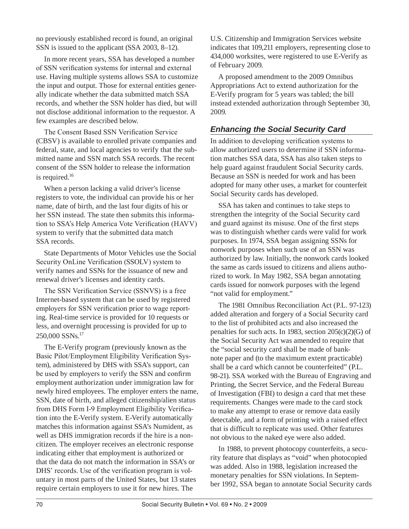no previously established record is found, an original SSN is issued to the applicant (SSA 2003, 8–12).

In more recent years, SSA has developed a number of SSN verification systems for internal and external use. Having multiple systems allows SSA to customize the input and output. Those for external entities generally indicate whether the data submitted match SSA records, and whether the SSN holder has died, but will not disclose additional information to the requestor. A few examples are described below.

The Consent Based SSN Verification Service (CBSV) is available to enrolled private companies and federal, state, and local agencies to verify that the submitted name and SSN match SSA records. The recent consent of the SSN holder to release the information is required.<sup>16</sup>

When a person lacking a valid driver's license registers to vote, the individual can provide his or her name, date of birth, and the last four digits of his or her SSN instead. The state then submits this information to SSA's Help America Vote Verification (HAVV) system to verify that the submitted data match SSA records.

State Departments of Motor Vehicles use the Social Security OnLine Verification (SSOLV) system to verify names and SSNs for the issuance of new and renewal driver's licenses and identity cards.

The SSN Verification Service (SSNVS) is a free Internet-based system that can be used by registered employers for SSN verification prior to wage reporting. Real-time service is provided for 10 requests or less, and overnight processing is provided for up to 250,000 SSNs.17

The E-Verify program (previously known as the Basic Pilot/Employment Eligibility Verification System), administered by DHS with SSA's support, can be used by employers to verify the SSN and confirm employment authorization under immigration law for newly hired employees. The employer enters the name, SSN, date of birth, and alleged citizenship/alien status from DHS Form I-9 Employment Eligibility Verification into the E-Verify system. E-Verify automatically matches this information against SSA's Numident, as well as DHS immigration records if the hire is a noncitizen. The employer receives an electronic response indicating either that employment is authorized or that the data do not match the information in SSA's or DHS' records. Use of the verification program is voluntary in most parts of the United States, but 13 states require certain employers to use it for new hires. The

U.S. Citizenship and Immigration Services website indicates that 109,211 employers, representing close to 434,000 worksites, were registered to use E-Verify as of February 2009.

A proposed amendment to the 2009 Omnibus Appropriations Act to extend authorization for the E-Verify program for 5 years was tabled; the bill instead extended authorization through September 30, 2009.

# *Enhancing the Social Security Card*

In addition to developing verification systems to allow authorized users to determine if SSN information matches SSA data, SSA has also taken steps to help guard against fraudulent Social Security cards. Because an SSN is needed for work and has been adopted for many other uses, a market for counterfeit Social Security cards has developed.

SSA has taken and continues to take steps to strengthen the integrity of the Social Security card and guard against its misuse. One of the first steps was to distinguish whether cards were valid for work purposes. In 1974, SSA began assigning SSNs for nonwork purposes when such use of an SSN was authorized by law. Initially, the nonwork cards looked the same as cards issued to citizens and aliens authorized to work. In May 1982, SSA began annotating cards issued for nonwork purposes with the legend "not valid for employment."

The 1981 Omnibus Reconciliation Act (P.L. 97-123) added alteration and forgery of a Social Security card to the list of prohibited acts and also increased the penalties for such acts. In 1983, section 205(c)(2)(G) of the Social Security Act was amended to require that the "social security card shall be made of banknote paper and (to the maximum extent practicable) shall be a card which cannot be counterfeited" (P.L. 98-21). SSA worked with the Bureau of Engraving and Printing, the Secret Service, and the Federal Bureau of Investigation (FBI) to design a card that met these requirements. Changes were made to the card stock to make any attempt to erase or remove data easily detectable, and a form of printing with a raised effect that is difficult to replicate was used. Other features not obvious to the naked eye were also added.

In 1988, to prevent photocopy counterfeits, a security feature that displays as "void" when photocopied was added. Also in 1988, legislation increased the monetary penalties for SSN violations. In September 1992, SSA began to annotate Social Security cards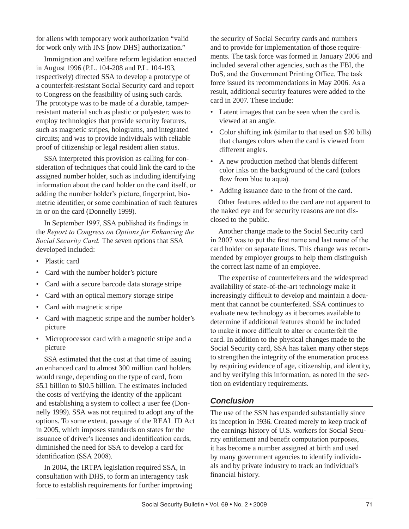for aliens with temporary work authorization "valid for work only with INS [now DHS] authorization."

Immigration and welfare reform legislation enacted in August 1996 (P.L. 104-208 and P.L. 104-193, respectively) directed SSA to develop a prototype of a counterfeit-resistant Social Security card and report to Congress on the feasibility of using such cards. The prototype was to be made of a durable, tamperresistant material such as plastic or polyester; was to employ technologies that provide security features, such as magnetic stripes, holograms, and integrated circuits; and was to provide individuals with reliable proof of citizenship or legal resident alien status.

SSA interpreted this provision as calling for consideration of techniques that could link the card to the assigned number holder, such as including identifying information about the card holder on the card itself, or adding the number holder's picture, fingerprint, biometric identifier, or some combination of such features in or on the card (Donnelly 1999).

In September 1997, SSA published its findings in the *Report to Congress on Options for Enhancing the Social Security Card.* The seven options that SSA developed included:

- Plastic card
- Card with the number holder's picture
- Card with a secure barcode data storage stripe
- Card with an optical memory storage stripe
- Card with magnetic stripe
- Card with magnetic stripe and the number holder's picture
- Microprocessor card with a magnetic stripe and a picture

SSA estimated that the cost at that time of issuing an enhanced card to almost 300 million card holders would range, depending on the type of card, from \$5.1 billion to \$10.5 billion. The estimates included the costs of verifying the identity of the applicant and establishing a system to collect a user fee (Donnelly 1999). SSA was not required to adopt any of the options. To some extent, passage of the REAL ID Act in 2005, which imposes standards on states for the issuance of driver's licenses and identification cards, diminished the need for SSA to develop a card for identification (SSA 2008).

In 2004, the IRTPA legislation required SSA, in consultation with DHS, to form an interagency task force to establish requirements for further improving the security of Social Security cards and numbers and to provide for implementation of those requirements. The task force was formed in January 2006 and included several other agencies, such as the FBI, the DoS, and the Government Printing Office. The task force issued its recommendations in May 2006. As a result, additional security features were added to the card in 2007. These include:

- Latent images that can be seen when the card is viewed at an angle.
- Color shifting ink (similar to that used on \$20 bills) that changes colors when the card is viewed from different angles.
- A new production method that blends different color inks on the background of the card (colors flow from blue to aqua).
- Adding issuance date to the front of the card.

Other features added to the card are not apparent to the naked eye and for security reasons are not disclosed to the public.

Another change made to the Social Security card in 2007 was to put the first name and last name of the card holder on separate lines. This change was recommended by employer groups to help them distinguish the correct last name of an employee.

The expertise of counterfeiters and the widespread availability of state-of-the-art technology make it increasingly difficult to develop and maintain a document that cannot be counterfeited. SSA continues to evaluate new technology as it becomes available to determine if additional features should be included to make it more difficult to alter or counterfeit the card. In addition to the physical changes made to the Social Security card, SSA has taken many other steps to strengthen the integrity of the enumeration process by requiring evidence of age, citizenship, and identity, and by verifying this information, as noted in the section on evidentiary requirements.

# *Conclusion*

The use of the SSN has expanded substantially since its inception in 1936. Created merely to keep track of the earnings history of U.S. workers for Social Security entitlement and benefit computation purposes, it has become a number assigned at birth and used by many government agencies to identify individuals and by private industry to track an individual's financial history.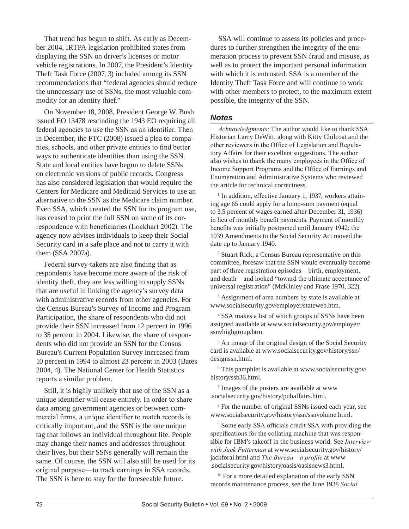That trend has begun to shift. As early as December 2004, IRTPA legislation prohibited states from displaying the SSN on driver's licenses or motor vehicle registrations. In 2007, the President's Identity Theft Task Force (2007, 3) included among its SSN recommendations that "federal agencies should reduce the unnecessary use of SSNs, the most valuable commodity for an identity thief."

On November 18, 2008, President George W. Bush issued EO 13478 rescinding the 1943 EO requiring all federal agencies to use the SSN as an identifier. Then in December, the FTC (2008) issued a plea to companies, schools, and other private entities to find better ways to authenticate identities than using the SSN. State and local entities have begun to delete SSNs on electronic versions of public records. Congress has also considered legislation that would require the Centers for Medicare and Medicaid Services to use an alternative to the SSN as the Medicare claim number. Even SSA, which created the SSN for its program use, has ceased to print the full SSN on some of its correspondence with beneficiaries (Lockhart 2002). The agency now advises individuals to keep their Social Security card in a safe place and not to carry it with them (SSA 2007a).

Federal survey-takers are also finding that as respondents have become more aware of the risk of identity theft, they are less willing to supply SSNs that are useful in linking the agency's survey data with administrative records from other agencies. For the Census Bureau's Survey of Income and Program Participation, the share of respondents who did not provide their SSN increased from 12 percent in 1996 to 35 percent in 2004. Likewise, the share of respondents who did not provide an SSN for the Census Bureau's Current Population Survey increased from 10 percent in 1994 to almost 23 percent in 2003 (Bates 2004, 4). The National Center for Health Statistics reports a similar problem.

Still, it is highly unlikely that use of the SSN as a unique identifier will cease entirely. In order to share data among government agencies or between commercial firms, a unique identifier to match records is critically important, and the SSN is the one unique tag that follows an individual throughout life. People may change their names and addresses throughout their lives, but their SSNs generally will remain the same. Of course, the SSN will also still be used for its original purpose—to track earnings in SSA records. The SSN is here to stay for the foreseeable future.

SSA will continue to assess its policies and procedures to further strengthen the integrity of the enumeration process to prevent SSN fraud and misuse, as well as to protect the important personal information with which it is entrusted. SSA is a member of the Identity Theft Task Force and will continue to work with other members to protect, to the maximum extent possible, the integrity of the SSN.

#### *Notes*

*Acknowledgments:* The author would like to thank SSA Historian Larry DeWitt, along with Kitty Chilcoat and the other reviewers in the Office of Legislation and Regulatory Affairs for their excellent suggestions. The author also wishes to thank the many employees in the Office of Income Support Programs and the Office of Earnings and Enumeration and Administrative Systems who reviewed the article for technical correctness.

<sup>1</sup> In addition, effective January 1, 1937, workers attaining age 65 could apply for a lump-sum payment (equal to 3.5 percent of wages earned after December 31, 1936) in lieu of monthly benefit payments. Payment of monthly benefits was initially postponed until January 1942; the 1939 Amendments to the Social Security Act moved the date up to January 1940.

2 Stuart Rick, a Census Bureau representative on this committee, foresaw that the SSN would eventually become part of three registration episodes—birth, employment, and death—and looked "toward the ultimate acceptance of universal registration" (McKinley and Frase 1970, 322).

3 Assignment of area numbers by state is available at www.socialsecurity.gov/employer/stateweb.htm.

4 SSA makes a list of which groups of SSNs have been assigned available at [www.socialsecurity.gov/employer/](http://www.socialsecurity.gov/employer/ssnvhighgroup.htm) [ssnvhighgroup.htm.](http://www.socialsecurity.gov/employer/ssnvhighgroup.htm)

5 An image of the original design of the Social Security card is available at [www.socialsecurity.gov/history/ssn/](http://www.socialsecurity.gov/history/ssn/designssn.html) [designssn.html.](http://www.socialsecurity.gov/history/ssn/designssn.html)

6 This pamphlet is available at [www.socialsecurity.gov/](http://www.socialsecurity.gov/history/ssb36.html) [history/ssb36.html](http://www.socialsecurity.gov/history/ssb36.html).

7 Images of the posters are available at [www](http://www.socialsecurity.gov/history/pubaffairs.html) [.socialsecurity.gov/history/pubaffairs.html.](http://www.socialsecurity.gov/history/pubaffairs.html)

8 For the number of original SSNs issued each year, see [www.socialsecurity.gov/history/ssn/ssnvolume.html.](http://www.socialsecurity.gov/history/ssn/ssnvolume.html)

9 Some early SSA officials credit SSA with providing the specifications for the collating machine that was responsible for IBM's takeoff in the business world. See *Interview with Jack Futterman* at [www.socialsecurity.gov/history/](http://www.socialsecurity.gov/history/jackforal.html) [jackforal.html](http://www.socialsecurity.gov/history/jackforal.html) and *The Bureau—a profile* at [www](http://www.socialsecurity.gov/history/oasis/oasisnews3.html) [.socialsecurity.gov/history/oasis/oasisnews3.html](http://www.socialsecurity.gov/history/oasis/oasisnews3.html).

<sup>10</sup> For a more detailed explanation of the early SSN records maintenance process, see the June 1938 *Social*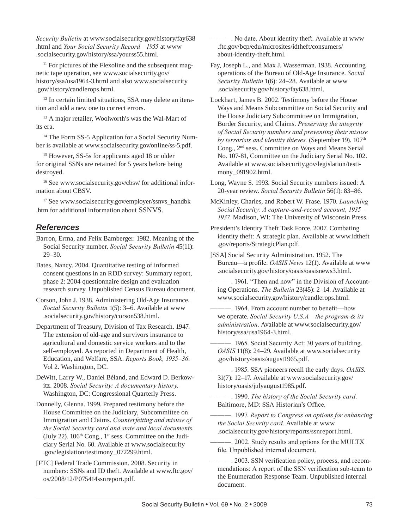*Security Bulletin* at [www.socialsecurity.gov/history/fay638](http://www.socialsecurity.gov/history/fay638.html) [.html](http://www.socialsecurity.gov/history/fay638.html) and *Your Social Security Record—1955* at [www](http://www.socialsecurity.gov/history/ssa/yourss55.html) [.socialsecurity.gov/history/ssa/yourss55.html](http://www.socialsecurity.gov/history/ssa/yourss55.html).

 $11$  For pictures of the Flexoline and the subsequent magnetic tape operation, see [www.socialsecurity.gov/](http://www.socialsecurity.gov/history/ssa/usa1964-3.html) [history/ssa/usa1964-3.html](http://www.socialsecurity.gov/history/ssa/usa1964-3.html) and also [www.socialsecurity](http://www.socialsecurity.gov/history/candlerops.html) [.gov/history/candlerops.html.](http://www.socialsecurity.gov/history/candlerops.html)

<sup>12</sup> In certain limited situations, SSA may delete an iteration and add a new one to correct errors.

<sup>13</sup> A major retailer, Woolworth's was the Wal-Mart of its era.

<sup>14</sup> The Form SS-5 Application for a Social Security Number is available at [www.socialsecurity.gov/online/ss-5.pdf](http://www.socialsecurity.gov/online/ss-5.pdf).

<sup>15</sup> However, SS-5s for applicants aged 18 or older for original SSNs are retained for 5 years before being destroyed.

<sup>16</sup> See [www.socialsecurity.gov/cbsv/](http://www.socialsecurity.gov/cbsv/) for additional information about CBSV.

<sup>17</sup> See [www.socialsecurity.gov/employer/ssnvs\\_handbk](http://www.socialsecurity.gov/employer/ssnvs_handbk.htm) [.htm](http://www.socialsecurity.gov/employer/ssnvs_handbk.htm) for additional information about SSNVS.

### *References*

Barron, Erma, and Felix Bamberger. 1982. Meaning of the Social Security number. *Social Security Bulletin* 45(11): 29–30.

Bates, Nancy. 2004. Quantitative testing of informed consent questions in an RDD survey: Summary report, phase 2: 2004 questionnaire design and evaluation research survey. Unpublished Census Bureau document.

Corson, John J. 1938. Administering Old-Age Insurance. *Social Security Bulletin* 1(5): 3–6. Available at [www](http://www.socialsecurity.gov/history/corson538.html) [.socialsecurity.gov/history/corson538.html](http://www.socialsecurity.gov/history/corson538.html).

Department of Treasury, Division of Tax Research. 1947. The extension of old-age and survivors insurance to agricultural and domestic service workers and to the self-employed. As reported in Department of Health, Education, and Welfare, SSA. *Reports Book, 1935–36*. Vol 2. Washington, DC.

DeWitt, Larry W., Daniel Béland, and Edward D. Berkowitz. 2008. *Social Security: A documentary history*. Washington, DC: Congressional Quarterly Press.

Donnelly, Glenna. 1999. Prepared testimony before the House Committee on the Judiciary, Subcommittee on Immigration and Claims. *Counterfeiting and misuse of the Social Security card and state and local documents.* (July 22).  $106<sup>th</sup> Cong., 1<sup>st</sup> sess. Committee on the Judi$ ciary Serial No. 60. Available at [www.socialsecurity](http://www.socialsecurity.gov/legislation/testimony_072299.html) [.gov/legislation/testimony\\_072299.html.](http://www.socialsecurity.gov/legislation/testimony_072299.html)

[FTC] Federal Trade Commission. 2008. Security in numbers: SSNs and ID theft. Available at [www.ftc.gov/](http://www.ftc.gov/os/2008/12/P075414ssnreport.pdf) [os/2008/12/P075414ssnreport.pdf.](http://www.ftc.gov/os/2008/12/P075414ssnreport.pdf)

———. No date. About identity theft. Available at [www](http://www.ftc.gov/bcp/edu/microsites/idtheft/consumers/about-identity-theft.html) [.ftc.gov/bcp/edu/microsites/idtheft/consumers/](http://www.ftc.gov/bcp/edu/microsites/idtheft/consumers/about-identity-theft.html) [about-identity-theft.html](http://www.ftc.gov/bcp/edu/microsites/idtheft/consumers/about-identity-theft.html).

Fay, Joseph L., and Max J. Wasserman. 1938. Accounting operations of the Bureau of Old-Age Insurance. *Social Security Bulletin* 1(6): 24–28. Available at [www](http://www.socialsecurity.gov/history/fay638.html) [.socialsecurity.gov/history/fay638.html](http://www.socialsecurity.gov/history/fay638.html).

Lockhart, James B. 2002. Testimony before the House Ways and Means Subcommittee on Social Security and the House Judiciary Subcommittee on Immigration, Border Security, and Claims. *Preserving the integrity of Social Security numbers and preventing their misuse*  by terrorists and identity thieves. (September 19).  $107<sup>th</sup>$ Cong., 2nd sess. Committee on Ways and Means Serial No. 107-81, Committee on the Judiciary Serial No. 102. Available at [www.socialsecurity.gov/legislation/testi](http://www.socialsecurity.gov/legislation/testimony_091902.html)[mony\\_091902.html.](http://www.socialsecurity.gov/legislation/testimony_091902.html)

Long, Wayne S. 1993. Social Security numbers issued: A 20-year review. *Social Security Bulletin* 56(1): 83–86.

McKinley, Charles, and Robert W. Frase. 1970. *Launching Social Security: A capture-and-record account, 1935– 1937.* Madison, WI: The University of Wisconsin Press.

President's Identity Theft Task Force. 2007. Combating identity theft: A strategic plan. Available at [www.idtheft](http://www.idtheft.gov/reports/StrategicPlan.pdf) [.gov/reports/StrategicPlan.pdf](http://www.idtheft.gov/reports/StrategicPlan.pdf).

[SSA] Social Security Administration. 1952. The Bureau—a profile. *OASIS News* 12(1). Available at [www](http://www.socialsecurity.gov/history/oasis/oasisnews3.html) [.socialsecurity.gov/history/oasis/oasisnews3.html.](http://www.socialsecurity.gov/history/oasis/oasisnews3.html)

-. 1961. "Then and now" in the Division of Accounting Operations. *The Bulletin* 23(45): 2–14. Available at [www.socialsecurity.gov/history/candlerops.html](http://www.socialsecurity.gov/history/candlerops.html).

———. 1964. From account number to benefit—how we operate. *Social Security U.S.A—the program & its administration*. Available at [www.socialsecurity.gov/](http://www.socialsecurity.gov/history/ssa/usa1964-3.html) [history/ssa/usa1964-3.html](http://www.socialsecurity.gov/history/ssa/usa1964-3.html).

———. 1965. Social Security Act: 30 years of building. *OASIS* 11(8): 24–29. Available at [www.socialsecurity](http://www.socialsecurity.gov/history/oasis/august1965.pdf) [.gov/history/oasis/august1965.pdf](http://www.socialsecurity.gov/history/oasis/august1965.pdf).

———. 1985. SSA pioneers recall the early days. *OASIS.* 31(7): 12–17. Available at [www.socialsecurity.gov/](http://www.socialsecurity.gov/history/oasis/julyaugust1985.pdf) [history/oasis/julyaugust1985.pdf](http://www.socialsecurity.gov/history/oasis/julyaugust1985.pdf).

———. 1990. *The history of the Social Security card.* Baltimore, MD: SSA Historian's Office.

———. 1997. *Report to Congress on options for enhancing the Social Security card.* Available at [www](http://www.socialsecurity.gov/history/reports/ssnreport.html) [.socialsecurity.gov/history/reports/ssnreport.html](http://www.socialsecurity.gov/history/reports/ssnreport.html).

-. 2002. Study results and options for the MULTX file. Unpublished internal document.

-. 2003. SSN verification policy, process, and recommendations: A report of the SSN verification sub-team to the Enumeration Response Team. Unpublished internal document.